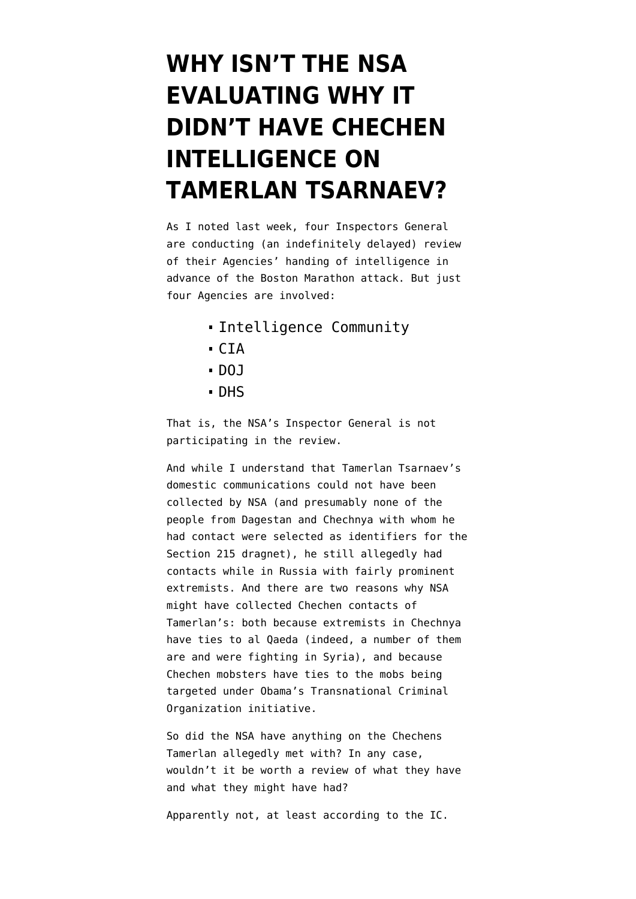## **[WHY ISN'T THE NSA](https://www.emptywheel.net/2013/09/25/why-isnt-the-nsa-evaluating-why-it-didnt-have-chechen-intelligence-on-tamerlan-tsarnaev/) [EVALUATING WHY IT](https://www.emptywheel.net/2013/09/25/why-isnt-the-nsa-evaluating-why-it-didnt-have-chechen-intelligence-on-tamerlan-tsarnaev/) [DIDN'T HAVE CHECHEN](https://www.emptywheel.net/2013/09/25/why-isnt-the-nsa-evaluating-why-it-didnt-have-chechen-intelligence-on-tamerlan-tsarnaev/) [INTELLIGENCE ON](https://www.emptywheel.net/2013/09/25/why-isnt-the-nsa-evaluating-why-it-didnt-have-chechen-intelligence-on-tamerlan-tsarnaev/) [TAMERLAN TSARNAEV?](https://www.emptywheel.net/2013/09/25/why-isnt-the-nsa-evaluating-why-it-didnt-have-chechen-intelligence-on-tamerlan-tsarnaev/)**

As I [noted last week](http://www.emptywheel.net/2013/09/20/the-girlfriend-detention-method-of-coercion/), four Inspectors General are conducting (an indefinitely delayed) review of their Agencies' handing of intelligence in advance of the Boston Marathon attack. But just four Agencies [are involved:](http://abcnews.go.com/images/Blotter/boston_intel_IG_130920.pdf)

- Intelligence Community
- CIA
- $-$  DOJ
- DHS

That is, the NSA's Inspector General is not participating in the review.

And while I understand that Tamerlan Tsarnaev's domestic communications could not have been collected by NSA (and presumably none of the people from Dagestan and Chechnya with whom he had contact were selected as identifiers for the Section 215 dragnet), he still [allegedly had](http://www.emptywheel.net/2013/05/27/putin-you-show-me-yours-and-i-might-show-you-mine/) [contacts](http://www.emptywheel.net/2013/05/27/putin-you-show-me-yours-and-i-might-show-you-mine/) while in Russia with fairly prominent extremists. And there are two reasons why NSA might have collected Chechen contacts of Tamerlan's: both because extremists in Chechnya have ties to al Qaeda (indeed, a number of them are and were fighting in Syria), and because Chechen mobsters have ties to the mobs being targeted under Obama's Transnational Criminal Organization initiative.

So did the NSA have anything on the Chechens Tamerlan allegedly met with? In any case, wouldn't it be worth a review of what they have and what they might have had?

Apparently not, at least according to the IC.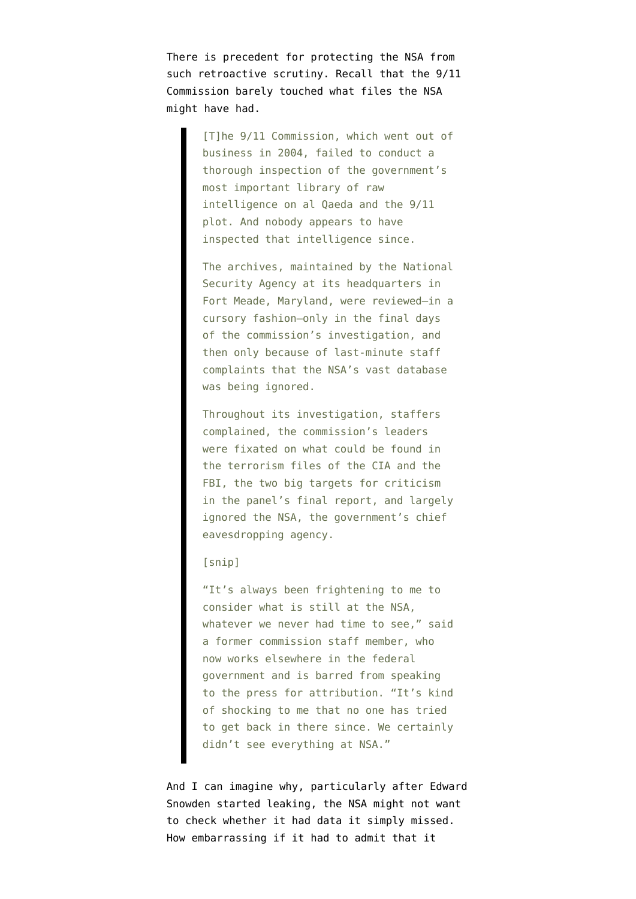There is precedent for protecting the NSA from such retroactive scrutiny. Recall that the 9/11 Commission [barely touched](http://www.thedailybeast.com/articles/2010/09/10/911-mystery-nsa-files-on-al-qaeda-attack-never-probed.html) what files the NSA might have had.

> [T]he 9/11 Commission, which went out of business in 2004, failed to conduct a thorough inspection of the government's most important library of raw intelligence on al Qaeda and the 9/11 plot. And nobody appears to have inspected that intelligence since.

> The archives, maintained by the National Security Agency at its headquarters in Fort Meade, Maryland, were reviewed—in a cursory fashion—only in the final days of the commission's investigation, and then only because of last-minute staff complaints that the NSA's vast database was being ignored.

> Throughout its investigation, staffers complained, the commission's leaders were fixated on what could be found in the terrorism files of the CIA and the FBI, the two big targets for criticism in the panel's final report, and largely ignored the NSA, the government's chief eavesdropping agency.

## [snip]

"It's always been frightening to me to consider what is still at the NSA, whatever we never had time to see," said a former commission staff member, who now works elsewhere in the federal government and is barred from speaking to the press for attribution. "It's kind of shocking to me that no one has tried to get back in there since. We certainly didn't see everything at NSA."

And I can imagine why, particularly after Edward Snowden started leaking, the NSA might not want to check whether it had data it simply missed. How embarrassing if it had to admit that it